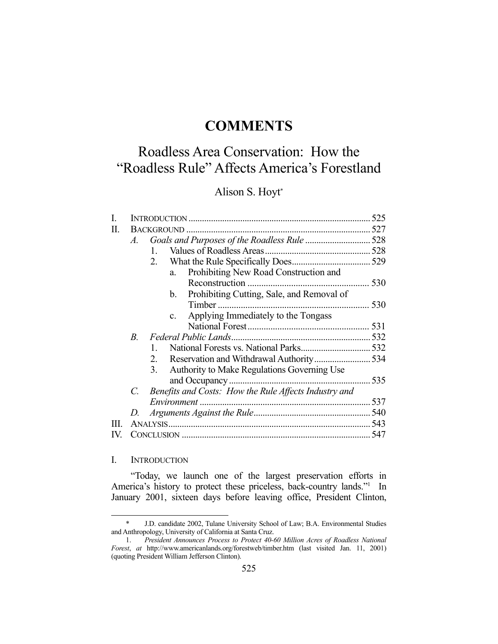## **COMMENTS**

# Roadless Area Conservation: How the "Roadless Rule" Affects America's Forestland

## Alison S. Hoyt\*

|             |                                                       | 525                                          |
|-------------|-------------------------------------------------------|----------------------------------------------|
|             |                                                       |                                              |
| A.          |                                                       |                                              |
|             | 1.                                                    |                                              |
|             | 2.                                                    |                                              |
|             | Prohibiting New Road Construction and<br>a.           |                                              |
|             |                                                       | 530                                          |
|             | Prohibiting Cutting, Sale, and Removal of<br>b.       |                                              |
|             |                                                       |                                              |
|             | Applying Immediately to the Tongass<br>$c_{\cdot}$    |                                              |
|             |                                                       |                                              |
| $B_{\cdot}$ |                                                       |                                              |
|             | 1.                                                    |                                              |
|             | 2.                                                    |                                              |
|             | Authority to Make Regulations Governing Use<br>3.     |                                              |
|             |                                                       |                                              |
| C.          | Benefits and Costs: How the Rule Affects Industry and |                                              |
|             |                                                       |                                              |
| D.          |                                                       |                                              |
|             |                                                       |                                              |
|             |                                                       |                                              |
|             |                                                       | Goals and Purposes of the Roadless Rule  528 |

## I. INTRODUCTION

<u>.</u>

 "Today, we launch one of the largest preservation efforts in America's history to protect these priceless, back-country lands."<sup>1</sup> In January 2001, sixteen days before leaving office, President Clinton,

 <sup>\*</sup> J.D. candidate 2002, Tulane University School of Law; B.A. Environmental Studies and Anthropology, University of California at Santa Cruz.

 <sup>1.</sup> *President Announces Process to Protect 40-60 Million Acres of Roadless National Forest*, *at* http://www.americanlands.org/forestweb/timber.htm (last visited Jan. 11, 2001) (quoting President William Jefferson Clinton).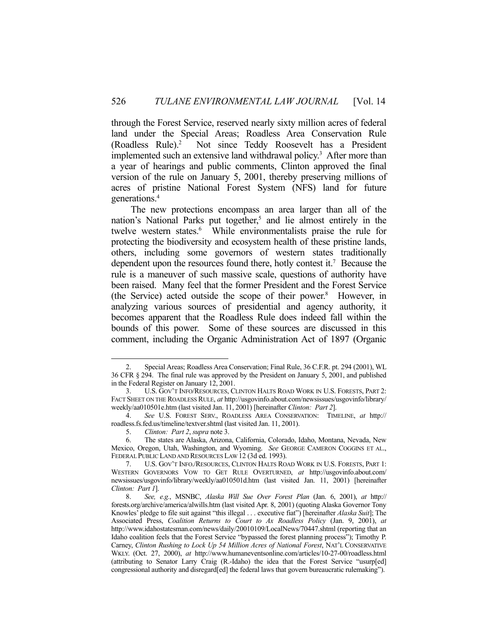through the Forest Service, reserved nearly sixty million acres of federal land under the Special Areas; Roadless Area Conservation Rule (Roadless Rule).<sup>2</sup> Not since Teddy Roosevelt has a President implemented such an extensive land withdrawal policy.<sup>3</sup> After more than a year of hearings and public comments, Clinton approved the final version of the rule on January 5, 2001, thereby preserving millions of acres of pristine National Forest System (NFS) land for future generations.4

 The new protections encompass an area larger than all of the nation's National Parks put together,<sup>5</sup> and lie almost entirely in the twelve western states.<sup>6</sup> While environmentalists praise the rule for protecting the biodiversity and ecosystem health of these pristine lands, others, including some governors of western states traditionally dependent upon the resources found there, hotly contest it.7 Because the rule is a maneuver of such massive scale, questions of authority have been raised. Many feel that the former President and the Forest Service (the Service) acted outside the scope of their power.<sup>8</sup> However, in analyzing various sources of presidential and agency authority, it becomes apparent that the Roadless Rule does indeed fall within the bounds of this power. Some of these sources are discussed in this comment, including the Organic Administration Act of 1897 (Organic

 <sup>2.</sup> Special Areas; Roadless Area Conservation; Final Rule, 36 C.F.R. pt. 294 (2001), WL 36 CFR § 294. The final rule was approved by the President on January 5, 2001, and published in the Federal Register on January 12, 2001.

 <sup>3.</sup> U.S. GOV'T INFO/RESOURCES, CLINTON HALTS ROAD WORK IN U.S. FORESTS, PART 2: FACT SHEET ON THE ROADLESS RULE, *at* http://usgovinfo.about.com/newsissues/usgovinfo/library/ weekly/aa010501e.htm (last visited Jan. 11, 2001) [hereinafter *Clinton: Part 2*].

 <sup>4.</sup> *See* U.S. FOREST SERV., ROADLESS AREA CONSERVATION: TIMELINE, *at* http:// roadless.fs.fed.us/timeline/textver.shtml (last visited Jan. 11, 2001).

 <sup>5.</sup> *Clinton: Part 2*, *supra* note 3.

 <sup>6.</sup> The states are Alaska, Arizona, California, Colorado, Idaho, Montana, Nevada, New Mexico, Oregon, Utah, Washington, and Wyoming. *See* GEORGE CAMERON COGGINS ET AL., FEDERAL PUBLIC LAND AND RESOURCES LAW 12 (3d ed. 1993).

 <sup>7.</sup> U.S. GOV'T INFO./RESOURCES, CLINTON HALTS ROAD WORK IN U.S. FORESTS, PART 1: WESTERN GOVERNORS VOW TO GET RULE OVERTURNED, *at* http://usgovinfo.about.com/ newsissues/usgovinfo/library/weekly/aa010501d.htm (last visited Jan. 11, 2001) [hereinafter *Clinton: Part 1*].

 <sup>8.</sup> *See, e.g.*, MSNBC, *Alaska Will Sue Over Forest Plan* (Jan. 6, 2001), *at* http:// forests.org/archive/america/alwills.htm (last visited Apr. 8, 2001) (quoting Alaska Governor Tony Knowles' pledge to file suit against "this illegal . . . executive fiat") [hereinafter *Alaska Suit*]; The Associated Press, *Coalition Returns to Court to Ax Roadless Policy* (Jan. 9, 2001), *at* http://www.idahostatesman.com/news/daily/20010109/LocalNews/70447.shtml (reporting that an Idaho coalition feels that the Forest Service "bypassed the forest planning process"); Timothy P. Carney, *Clinton Rushing to Lock Up 54 Million Acres of National Forest*, NAT'L CONSERVATIVE WKLY. (Oct. 27, 2000), *at* http://www.humaneventsonline.com/articles/10-27-00/roadless.html (attributing to Senator Larry Craig (R.-Idaho) the idea that the Forest Service "usurp[ed] congressional authority and disregard[ed] the federal laws that govern bureaucratic rulemaking").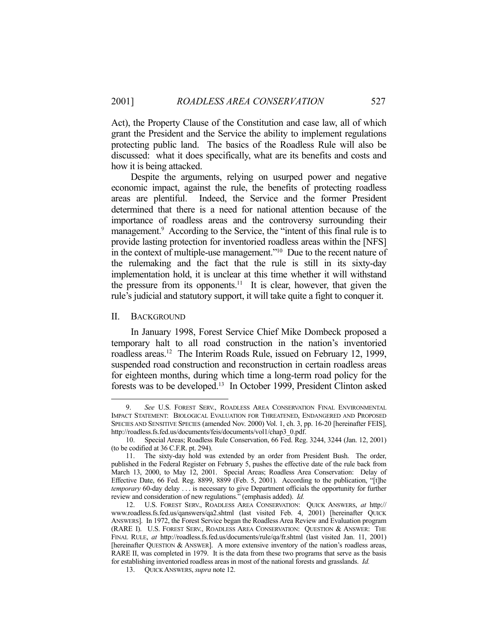Act), the Property Clause of the Constitution and case law, all of which grant the President and the Service the ability to implement regulations protecting public land. The basics of the Roadless Rule will also be discussed: what it does specifically, what are its benefits and costs and how it is being attacked.

 Despite the arguments, relying on usurped power and negative economic impact, against the rule, the benefits of protecting roadless areas are plentiful. Indeed, the Service and the former President determined that there is a need for national attention because of the importance of roadless areas and the controversy surrounding their management.<sup>9</sup> According to the Service, the "intent of this final rule is to provide lasting protection for inventoried roadless areas within the [NFS] in the context of multiple-use management."10 Due to the recent nature of the rulemaking and the fact that the rule is still in its sixty-day implementation hold, it is unclear at this time whether it will withstand the pressure from its opponents.<sup>11</sup> It is clear, however, that given the rule's judicial and statutory support, it will take quite a fight to conquer it.

#### II. BACKGROUND

1

 In January 1998, Forest Service Chief Mike Dombeck proposed a temporary halt to all road construction in the nation's inventoried roadless areas.12 The Interim Roads Rule, issued on February 12, 1999, suspended road construction and reconstruction in certain roadless areas for eighteen months, during which time a long-term road policy for the forests was to be developed.13 In October 1999, President Clinton asked

 <sup>9.</sup> *See* U.S. FOREST SERV., ROADLESS AREA CONSERVATION FINAL ENVIRONMENTAL IMPACT STATEMENT: BIOLOGICAL EVALUATION FOR THREATENED, ENDANGERED AND PROPOSED SPECIES AND SENSITIVE SPECIES (amended Nov. 2000) Vol. 1, ch. 3, pp. 16-20 [hereinafter FEIS], http://roadless.fs.fed.us/documents/feis/documents/vol1/chap3\_0.pdf.

 <sup>10.</sup> Special Areas; Roadless Rule Conservation, 66 Fed. Reg. 3244, 3244 (Jan. 12, 2001) (to be codified at 36 C.F.R. pt. 294).

 <sup>11.</sup> The sixty-day hold was extended by an order from President Bush. The order, published in the Federal Register on February 5, pushes the effective date of the rule back from March 13, 2000, to May 12, 2001. Special Areas; Roadless Area Conservation: Delay of Effective Date, 66 Fed. Reg. 8899, 8899 (Feb. 5, 2001). According to the publication, "[t]he *temporary* 60-day delay . . . is necessary to give Department officials the opportunity for further review and consideration of new regulations." (emphasis added). *Id.*

 <sup>12.</sup> U.S. FOREST SERV., ROADLESS AREA CONSERVATION: QUICK ANSWERS, *at* http:// www.roadless.fs.fed.us/qanswers/qa2.shtml (last visited Feb. 4, 2001) [hereinafter QUICK ANSWERS]. In 1972, the Forest Service began the Roadless Area Review and Evaluation program (RARE I). U.S. FOREST SERV., ROADLESS AREA CONSERVATION: QUESTION & ANSWER: THE FINAL RULE, *at* http://roadless.fs.fed.us/documents/rule/qa/fr.shtml (last visited Jan. 11, 2001) [hereinafter QUESTION & ANSWER]. A more extensive inventory of the nation's roadless areas, RARE II, was completed in 1979. It is the data from these two programs that serve as the basis for establishing inventoried roadless areas in most of the national forests and grasslands. *Id.* 

 <sup>13.</sup> QUICK ANSWERS, *supra* note 12.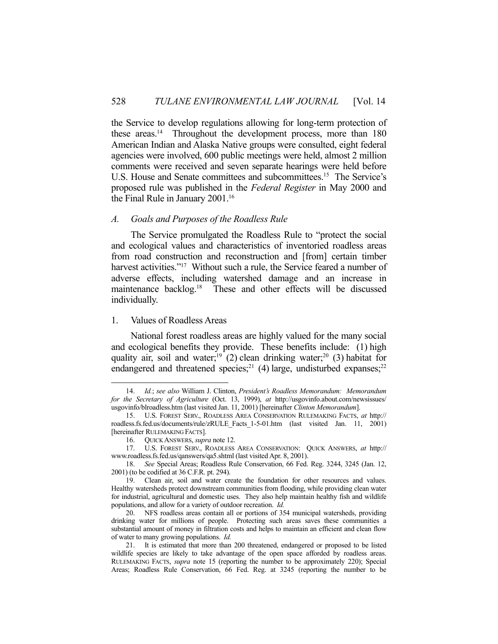the Service to develop regulations allowing for long-term protection of these areas.<sup>14</sup> Throughout the development process, more than 180 American Indian and Alaska Native groups were consulted, eight federal agencies were involved, 600 public meetings were held, almost 2 million comments were received and seven separate hearings were held before U.S. House and Senate committees and subcommittees.<sup>15</sup> The Service's proposed rule was published in the *Federal Register* in May 2000 and the Final Rule in January 2001.16

## *A. Goals and Purposes of the Roadless Rule*

 The Service promulgated the Roadless Rule to "protect the social and ecological values and characteristics of inventoried roadless areas from road construction and reconstruction and [from] certain timber harvest activities."<sup>17</sup> Without such a rule, the Service feared a number of adverse effects, including watershed damage and an increase in maintenance backlog.<sup>18</sup> These and other effects will be discussed individually.

#### 1. Values of Roadless Areas

1

 National forest roadless areas are highly valued for the many social and ecological benefits they provide. These benefits include: (1) high quality air, soil and water;<sup>19</sup> (2) clean drinking water;<sup>20</sup> (3) habitat for endangered and threatened species;<sup>21</sup> (4) large, undisturbed expanses;<sup>22</sup>

 <sup>14.</sup> *Id.*; *see also* William J. Clinton, *President's Roadless Memorandum: Memorandum for the Secretary of Agriculture* (Oct. 13, 1999), *at* http://usgovinfo.about.com/newsissues/ usgovinfo/blroadless.htm (last visited Jan. 11, 2001) [hereinafter *Clinton Memorandum*].

 <sup>15.</sup> U.S. FOREST SERV., ROADLESS AREA CONSERVATION RULEMAKING FACTS, *at* http:// roadless.fs.fed.us/documents/rule/zRULE\_Facts\_1-5-01.htm (last visited Jan. 11, 2001) [hereinafter RULEMAKING FACTS].

 <sup>16.</sup> QUICK ANSWERS, *supra* note 12.

 <sup>17.</sup> U.S. FOREST SERV., ROADLESS AREA CONSERVATION: QUICK ANSWERS, *at* http:// www.roadless.fs.fed.us/qanswers/qa5.shtml (last visited Apr. 8, 2001).

 <sup>18.</sup> *See* Special Areas; Roadless Rule Conservation, 66 Fed. Reg. 3244, 3245 (Jan. 12, 2001) (to be codified at 36 C.F.R. pt. 294).

 <sup>19.</sup> Clean air, soil and water create the foundation for other resources and values. Healthy watersheds protect downstream communities from flooding, while providing clean water for industrial, agricultural and domestic uses. They also help maintain healthy fish and wildlife populations, and allow for a variety of outdoor recreation. *Id.*

 <sup>20.</sup> NFS roadless areas contain all or portions of 354 municipal watersheds, providing drinking water for millions of people. Protecting such areas saves these communities a substantial amount of money in filtration costs and helps to maintain an efficient and clean flow of water to many growing populations. *Id.* 

 <sup>21.</sup> It is estimated that more than 200 threatened, endangered or proposed to be listed wildlife species are likely to take advantage of the open space afforded by roadless areas. RULEMAKING FACTS, *supra* note 15 (reporting the number to be approximately 220); Special Areas; Roadless Rule Conservation, 66 Fed. Reg. at 3245 (reporting the number to be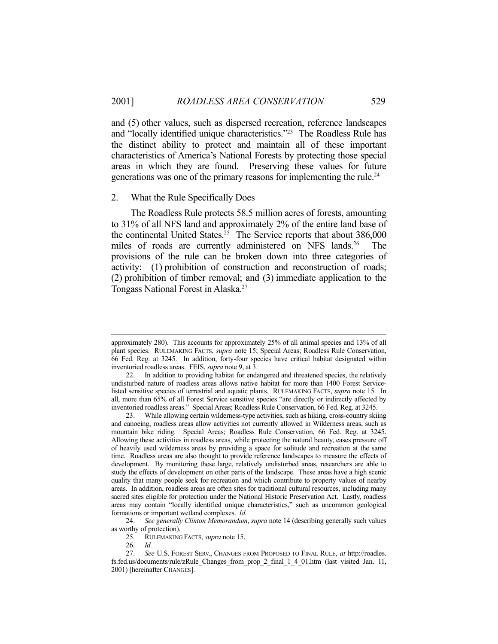and (5) other values, such as dispersed recreation, reference landscapes and "locally identified unique characteristics."23 The Roadless Rule has the distinct ability to protect and maintain all of these important characteristics of America's National Forests by protecting those special areas in which they are found. Preserving these values for future generations was one of the primary reasons for implementing the rule.<sup>24</sup>

### 2. What the Rule Specifically Does

 The Roadless Rule protects 58.5 million acres of forests, amounting to 31% of all NFS land and approximately 2% of the entire land base of the continental United States.<sup>25</sup> The Service reports that about  $386,000$ miles of roads are currently administered on NFS lands.<sup>26</sup> The provisions of the rule can be broken down into three categories of activity: (1) prohibition of construction and reconstruction of roads; (2) prohibition of timber removal; and (3) immediate application to the Tongass National Forest in Alaska.27

approximately 280). This accounts for approximately 25% of all animal species and 13% of all plant species. RULEMAKING FACTS, *supra* note 15; Special Areas; Roadless Rule Conservation, 66 Fed. Reg. at 3245. In addition, forty-four species have critical habitat designated within inventoried roadless areas. FEIS, *supra* note 9, at 3.

 <sup>22.</sup> In addition to providing habitat for endangered and threatened species, the relatively undisturbed nature of roadless areas allows native habitat for more than 1400 Forest Servicelisted sensitive species of terrestrial and aquatic plants. RULEMAKING FACTS, *supra* note 15. In all, more than 65% of all Forest Service sensitive species "are directly or indirectly affected by inventoried roadless areas." Special Areas; Roadless Rule Conservation, 66 Fed. Reg. at 3245.

 <sup>23.</sup> While allowing certain wilderness-type activities, such as hiking, cross-country skiing and canoeing, roadless areas allow activities not currently allowed in Wilderness areas, such as mountain bike riding. Special Areas; Roadless Rule Conservation, 66 Fed. Reg. at 3245. Allowing these activities in roadless areas, while protecting the natural beauty, eases pressure off of heavily used wilderness areas by providing a space for solitude and recreation at the same time. Roadless areas are also thought to provide reference landscapes to measure the effects of development. By monitoring these large, relatively undisturbed areas, researchers are able to study the effects of development on other parts of the landscape. These areas have a high scenic quality that many people seek for recreation and which contribute to property values of nearby areas. In addition, roadless areas are often sites for traditional cultural resources, including many sacred sites eligible for protection under the National Historic Preservation Act. Lastly, roadless areas may contain "locally identified unique characteristics," such as uncommon geological formations or important wetland complexes. *Id.*

 <sup>24.</sup> *See generally Clinton Memorandum*, *supra* note 14 (describing generally such values as worthy of protection).

 <sup>25.</sup> RULEMAKING FACTS, *supra* note 15.

 <sup>26.</sup> *Id.* 

 <sup>27.</sup> *See* U.S. FOREST SERV., CHANGES FROM PROPOSED TO FINAL RULE, *at* http://roadles. fs.fed.us/documents/rule/zRule\_Changes\_from\_prop\_2\_final\_1\_4\_01.htm (last visited Jan. 11, 2001) [hereinafter CHANGES].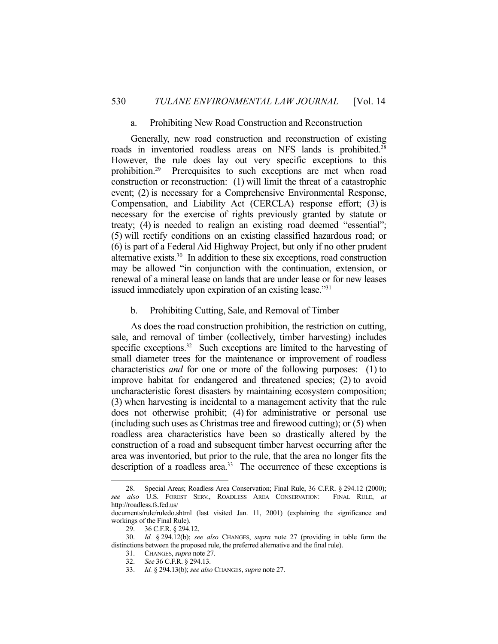#### a. Prohibiting New Road Construction and Reconstruction

 Generally, new road construction and reconstruction of existing roads in inventoried roadless areas on NFS lands is prohibited.28 However, the rule does lay out very specific exceptions to this prohibition.29 Prerequisites to such exceptions are met when road construction or reconstruction: (1) will limit the threat of a catastrophic event; (2) is necessary for a Comprehensive Environmental Response, Compensation, and Liability Act (CERCLA) response effort; (3) is necessary for the exercise of rights previously granted by statute or treaty; (4) is needed to realign an existing road deemed "essential"; (5) will rectify conditions on an existing classified hazardous road; or (6) is part of a Federal Aid Highway Project, but only if no other prudent alternative exists.30 In addition to these six exceptions, road construction may be allowed "in conjunction with the continuation, extension, or renewal of a mineral lease on lands that are under lease or for new leases issued immediately upon expiration of an existing lease."31

## b. Prohibiting Cutting, Sale, and Removal of Timber

 As does the road construction prohibition, the restriction on cutting, sale, and removal of timber (collectively, timber harvesting) includes specific exceptions.<sup>32</sup> Such exceptions are limited to the harvesting of small diameter trees for the maintenance or improvement of roadless characteristics *and* for one or more of the following purposes: (1) to improve habitat for endangered and threatened species; (2) to avoid uncharacteristic forest disasters by maintaining ecosystem composition; (3) when harvesting is incidental to a management activity that the rule does not otherwise prohibit; (4) for administrative or personal use (including such uses as Christmas tree and firewood cutting); or (5) when roadless area characteristics have been so drastically altered by the construction of a road and subsequent timber harvest occurring after the area was inventoried, but prior to the rule, that the area no longer fits the description of a roadless area.<sup>33</sup> The occurrence of these exceptions is

<u>.</u>

<sup>28.</sup> Special Areas; Roadless Area Conservation; Final Rule, 36 C.F.R. § 294.12 (2000); also U.S. FOREST SERV., ROADLESS AREA CONSERVATION: FINAL RULE. at *see also* U.S. FOREST SERV., ROADLESS AREA CONSERVATION: http://roadless.fs.fed.us/

documents/rule/ruledo.shtml (last visited Jan. 11, 2001) (explaining the significance and workings of the Final Rule).

 <sup>29. 36</sup> C.F.R. § 294.12.

 <sup>30.</sup> *Id.* § 294.12(b); *see also* CHANGES, *supra* note 27 (providing in table form the distinctions between the proposed rule, the preferred alternative and the final rule).

 <sup>31.</sup> CHANGES, *supra* note 27.

 <sup>32.</sup> *See* 36 C.F.R. § 294.13.

 <sup>33.</sup> *Id.* § 294.13(b); *see also* CHANGES, *supra* note 27.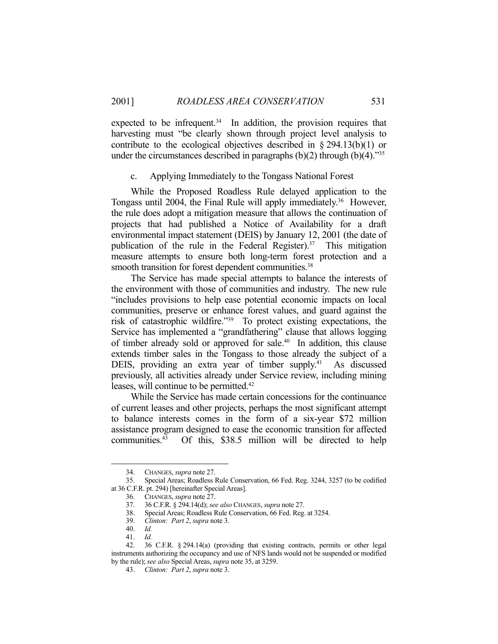expected to be infrequent. $34$  In addition, the provision requires that harvesting must "be clearly shown through project level analysis to contribute to the ecological objectives described in  $\S 294.13(b)(1)$  or under the circumstances described in paragraphs  $(b)(2)$  through  $(b)(4)$ ."<sup>35</sup>

## c. Applying Immediately to the Tongass National Forest

 While the Proposed Roadless Rule delayed application to the Tongass until 2004, the Final Rule will apply immediately.36 However, the rule does adopt a mitigation measure that allows the continuation of projects that had published a Notice of Availability for a draft environmental impact statement (DEIS) by January 12, 2001 (the date of publication of the rule in the Federal Register).<sup>37</sup> This mitigation measure attempts to ensure both long-term forest protection and a smooth transition for forest dependent communities.<sup>38</sup>

 The Service has made special attempts to balance the interests of the environment with those of communities and industry. The new rule "includes provisions to help ease potential economic impacts on local communities, preserve or enhance forest values, and guard against the risk of catastrophic wildfire."39 To protect existing expectations, the Service has implemented a "grandfathering" clause that allows logging of timber already sold or approved for sale.<sup>40</sup> In addition, this clause extends timber sales in the Tongass to those already the subject of a DEIS, providing an extra year of timber supply.<sup>41</sup> As discussed previously, all activities already under Service review, including mining leases, will continue to be permitted.<sup>42</sup>

 While the Service has made certain concessions for the continuance of current leases and other projects, perhaps the most significant attempt to balance interests comes in the form of a six-year \$72 million assistance program designed to ease the economic transition for affected communities.<sup>43</sup> Of this, \$38.5 million will be directed to help

<u>.</u>

 <sup>34.</sup> CHANGES, *supra* note 27.

 <sup>35.</sup> Special Areas; Roadless Rule Conservation, 66 Fed. Reg. 3244, 3257 (to be codified at 36 C.F.R. pt. 294) [hereinafter Special Areas].

 <sup>36.</sup> CHANGES, *supra* note 27.

 <sup>37. 36</sup> C.F.R. § 294.14(d); *see also* CHANGES, *supra* note 27.

 <sup>38.</sup> Special Areas; Roadless Rule Conservation, 66 Fed. Reg. at 3254.

 <sup>39.</sup> *Clinton: Part 2*, *supra* note 3.

 <sup>40.</sup> *Id.*

 <sup>41.</sup> *Id.* 

 <sup>42. 36</sup> C.F.R. § 294.14(a) (providing that existing contracts, permits or other legal instruments authorizing the occupancy and use of NFS lands would not be suspended or modified by the rule); *see also* Special Areas, *supra* note 35, at 3259.

 <sup>43.</sup> *Clinton: Part 2*, *supra* note 3.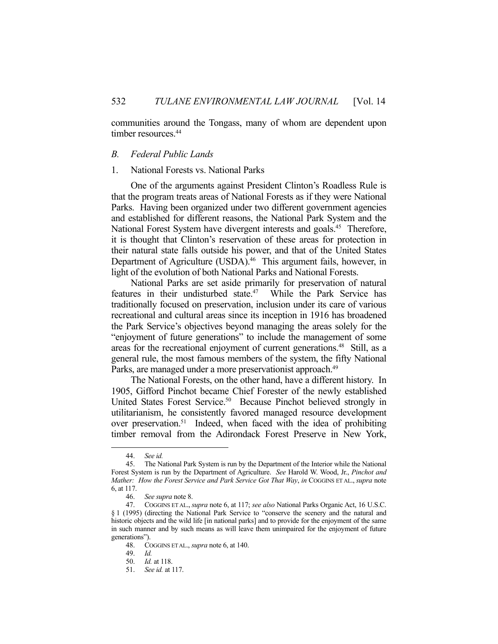communities around the Tongass, many of whom are dependent upon timber resources.<sup>44</sup>

## *B. Federal Public Lands*

## 1. National Forests vs. National Parks

 One of the arguments against President Clinton's Roadless Rule is that the program treats areas of National Forests as if they were National Parks. Having been organized under two different government agencies and established for different reasons, the National Park System and the National Forest System have divergent interests and goals.<sup>45</sup> Therefore, it is thought that Clinton's reservation of these areas for protection in their natural state falls outside his power, and that of the United States Department of Agriculture (USDA).<sup>46</sup> This argument fails, however, in light of the evolution of both National Parks and National Forests.

 National Parks are set aside primarily for preservation of natural features in their undisturbed state.<sup>47</sup> While the Park Service has traditionally focused on preservation, inclusion under its care of various recreational and cultural areas since its inception in 1916 has broadened the Park Service's objectives beyond managing the areas solely for the "enjoyment of future generations" to include the management of some areas for the recreational enjoyment of current generations.<sup>48</sup> Still, as a general rule, the most famous members of the system, the fifty National Parks, are managed under a more preservationist approach.<sup>49</sup>

 The National Forests, on the other hand, have a different history. In 1905, Gifford Pinchot became Chief Forester of the newly established United States Forest Service.<sup>50</sup> Because Pinchot believed strongly in utilitarianism, he consistently favored managed resource development over preservation.51 Indeed, when faced with the idea of prohibiting timber removal from the Adirondack Forest Preserve in New York,

 <sup>44.</sup> *See id.* 

 <sup>45.</sup> The National Park System is run by the Department of the Interior while the National Forest System is run by the Department of Agriculture. *See* Harold W. Wood, Jr., *Pinchot and Mather: How the Forest Service and Park Service Got That Way*, *in* COGGINS ET AL., *supra* note 6, at 117.

 <sup>46.</sup> *See supra* note 8.

 <sup>47.</sup> COGGINS ET AL., *supra* note 6, at 117; *see also* National Parks Organic Act, 16 U.S.C. § 1 (1995) (directing the National Park Service to "conserve the scenery and the natural and historic objects and the wild life [in national parks] and to provide for the enjoyment of the same in such manner and by such means as will leave them unimpaired for the enjoyment of future generations").

 <sup>48.</sup> COGGINS ET AL., *supra* note 6, at 140.

 <sup>49.</sup> *Id.*

 <sup>50.</sup> *Id.* at 118.

 <sup>51.</sup> *See id.* at 117.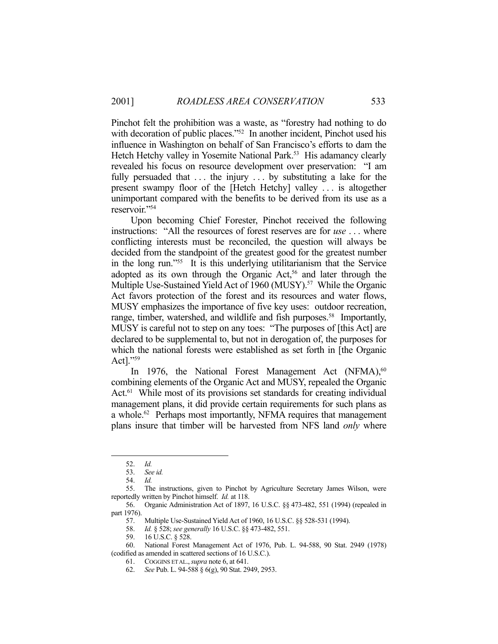Pinchot felt the prohibition was a waste, as "forestry had nothing to do with decoration of public places."<sup>52</sup> In another incident, Pinchot used his influence in Washington on behalf of San Francisco's efforts to dam the Hetch Hetchy valley in Yosemite National Park.<sup>53</sup> His adamancy clearly revealed his focus on resource development over preservation: "I am fully persuaded that  $\dots$  the injury  $\dots$  by substituting a lake for the present swampy floor of the [Hetch Hetchy] valley . . . is altogether unimportant compared with the benefits to be derived from its use as a reservoir."54

 Upon becoming Chief Forester, Pinchot received the following instructions: "All the resources of forest reserves are for *use* . . . where conflicting interests must be reconciled, the question will always be decided from the standpoint of the greatest good for the greatest number in the long run."55 It is this underlying utilitarianism that the Service adopted as its own through the Organic Act,<sup>56</sup> and later through the Multiple Use-Sustained Yield Act of 1960 (MUSY).<sup>57</sup> While the Organic Act favors protection of the forest and its resources and water flows, MUSY emphasizes the importance of five key uses: outdoor recreation, range, timber, watershed, and wildlife and fish purposes.<sup>58</sup> Importantly, MUSY is careful not to step on any toes: "The purposes of [this Act] are declared to be supplemental to, but not in derogation of, the purposes for which the national forests were established as set forth in [the Organic Act]."59

In 1976, the National Forest Management Act  $(NFMA)$ ,<sup>60</sup> combining elements of the Organic Act and MUSY, repealed the Organic Act.<sup>61</sup> While most of its provisions set standards for creating individual management plans, it did provide certain requirements for such plans as a whole.<sup>62</sup> Perhaps most importantly, NFMA requires that management plans insure that timber will be harvested from NFS land *only* where

 <sup>52.</sup> *Id.* 

 <sup>53.</sup> *See id.*

 <sup>54.</sup> *Id.* 

 <sup>55.</sup> The instructions, given to Pinchot by Agriculture Secretary James Wilson, were reportedly written by Pinchot himself. *Id.* at 118.

 <sup>56.</sup> Organic Administration Act of 1897, 16 U.S.C. §§ 473-482, 551 (1994) (repealed in part 1976).

 <sup>57.</sup> Multiple Use-Sustained Yield Act of 1960, 16 U.S.C. §§ 528-531 (1994).

 <sup>58.</sup> *Id.* § 528; *see generally* 16 U.S.C. §§ 473-482, 551.

 <sup>59. 16</sup> U.S.C. § 528.

 <sup>60.</sup> National Forest Management Act of 1976, Pub. L. 94-588, 90 Stat. 2949 (1978) (codified as amended in scattered sections of 16 U.S.C.).

 <sup>61.</sup> COGGINS ET AL.,*supra* note 6, at 641.

 <sup>62.</sup> *See* Pub. L. 94-588 § 6(g), 90 Stat. 2949, 2953.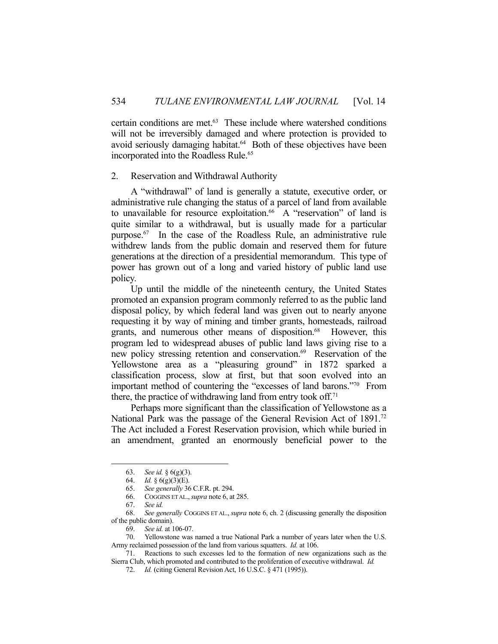certain conditions are met.63 These include where watershed conditions will not be irreversibly damaged and where protection is provided to avoid seriously damaging habitat.<sup>64</sup> Both of these objectives have been incorporated into the Roadless Rule.<sup>65</sup>

## 2. Reservation and Withdrawal Authority

 A "withdrawal" of land is generally a statute, executive order, or administrative rule changing the status of a parcel of land from available to unavailable for resource exploitation.<sup>66</sup> A "reservation" of land is quite similar to a withdrawal, but is usually made for a particular purpose.67 In the case of the Roadless Rule, an administrative rule withdrew lands from the public domain and reserved them for future generations at the direction of a presidential memorandum. This type of power has grown out of a long and varied history of public land use policy.

 Up until the middle of the nineteenth century, the United States promoted an expansion program commonly referred to as the public land disposal policy, by which federal land was given out to nearly anyone requesting it by way of mining and timber grants, homesteads, railroad grants, and numerous other means of disposition.<sup>68</sup> However, this program led to widespread abuses of public land laws giving rise to a new policy stressing retention and conservation.<sup>69</sup> Reservation of the Yellowstone area as a "pleasuring ground" in 1872 sparked a classification process, slow at first, but that soon evolved into an important method of countering the "excesses of land barons."70 From there, the practice of withdrawing land from entry took off.<sup>71</sup>

 Perhaps more significant than the classification of Yellowstone as a National Park was the passage of the General Revision Act of 1891.<sup>72</sup> The Act included a Forest Reservation provision, which while buried in an amendment, granted an enormously beneficial power to the

<u>.</u>

 <sup>63.</sup> *See id.* § 6(g)(3).

 <sup>64.</sup> *Id.* § 6(g)(3)(E).

 <sup>65.</sup> *See generally* 36 C.F.R. pt. 294.

 <sup>66.</sup> COGGINS ET AL.,*supra* note 6, at 285.

 <sup>67.</sup> *See id.*

 <sup>68.</sup> *See generally* COGGINS ET AL., *supra* note 6, ch. 2 (discussing generally the disposition of the public domain).

 <sup>69.</sup> *See id.* at 106-07.

 <sup>70.</sup> Yellowstone was named a true National Park a number of years later when the U.S. Army reclaimed possession of the land from various squatters. *Id.* at 106.

 <sup>71.</sup> Reactions to such excesses led to the formation of new organizations such as the Sierra Club, which promoted and contributed to the proliferation of executive withdrawal. *Id.* 

 <sup>72.</sup> *Id.* (citing General Revision Act, 16 U.S.C. § 471 (1995)).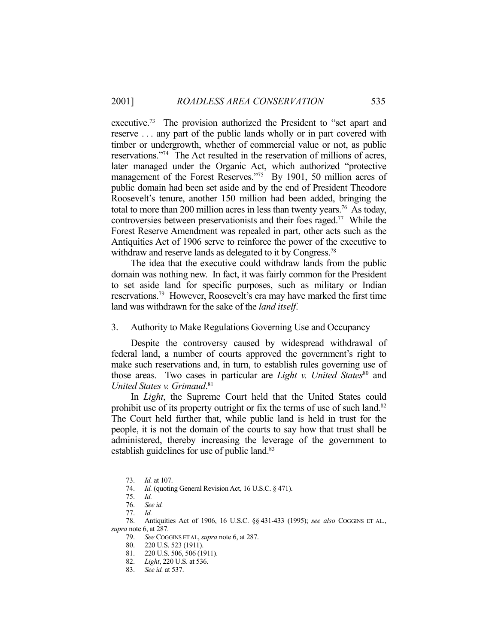executive.<sup>73</sup> The provision authorized the President to "set apart and reserve . . . any part of the public lands wholly or in part covered with timber or undergrowth, whether of commercial value or not, as public reservations."74 The Act resulted in the reservation of millions of acres, later managed under the Organic Act, which authorized "protective management of the Forest Reserves."<sup>75</sup> By 1901, 50 million acres of public domain had been set aside and by the end of President Theodore Roosevelt's tenure, another 150 million had been added, bringing the total to more than 200 million acres in less than twenty years.<sup>76</sup> As today, controversies between preservationists and their foes raged.77 While the Forest Reserve Amendment was repealed in part, other acts such as the Antiquities Act of 1906 serve to reinforce the power of the executive to withdraw and reserve lands as delegated to it by Congress.<sup>78</sup>

 The idea that the executive could withdraw lands from the public domain was nothing new. In fact, it was fairly common for the President to set aside land for specific purposes, such as military or Indian reservations.79 However, Roosevelt's era may have marked the first time land was withdrawn for the sake of the *land itself*.

## 3. Authority to Make Regulations Governing Use and Occupancy

 Despite the controversy caused by widespread withdrawal of federal land, a number of courts approved the government's right to make such reservations and, in turn, to establish rules governing use of those areas. Two cases in particular are *Light v. United States*<sup>80</sup> and *United States v. Grimaud*. 81

 In *Light*, the Supreme Court held that the United States could prohibit use of its property outright or fix the terms of use of such land.<sup>82</sup> The Court held further that, while public land is held in trust for the people, it is not the domain of the courts to say how that trust shall be administered, thereby increasing the leverage of the government to establish guidelines for use of public land.<sup>83</sup>

 <sup>73.</sup> *Id.* at 107.

<sup>74.</sup> *Id.* (quoting General Revision Act, 16 U.S.C. § 471).

 <sup>75.</sup> *Id.*

 <sup>76.</sup> *See id.* 

 <sup>77.</sup> *Id.* 

 <sup>78.</sup> Antiquities Act of 1906, 16 U.S.C. §§ 431-433 (1995); *see also* COGGINS ET AL., *supra* note 6, at 287.

 <sup>79.</sup> *See* COGGINS ET AL, *supra* note 6, at 287.

 <sup>80. 220</sup> U.S. 523 (1911).

 <sup>81. 220</sup> U.S. 506, 506 (1911).

 <sup>82.</sup> *Light*, 220 U.S. at 536.

 <sup>83.</sup> *See id.* at 537.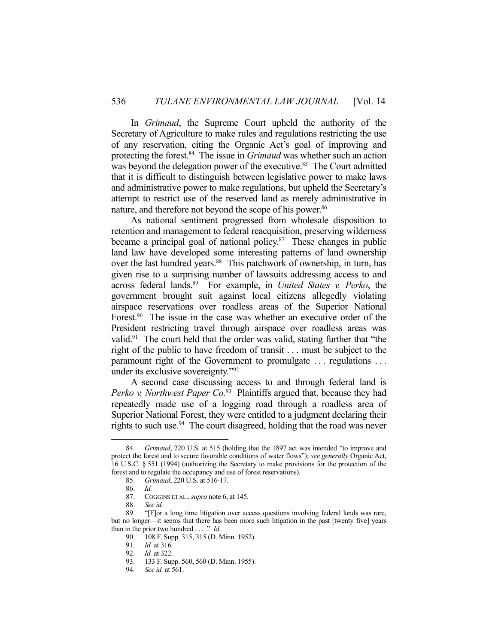In *Grimaud*, the Supreme Court upheld the authority of the Secretary of Agriculture to make rules and regulations restricting the use of any reservation, citing the Organic Act's goal of improving and protecting the forest.<sup>84</sup> The issue in *Grimaud* was whether such an action was beyond the delegation power of the executive.<sup>85</sup> The Court admitted that it is difficult to distinguish between legislative power to make laws and administrative power to make regulations, but upheld the Secretary's attempt to restrict use of the reserved land as merely administrative in nature, and therefore not beyond the scope of his power.<sup>86</sup>

 As national sentiment progressed from wholesale disposition to retention and management to federal reacquisition, preserving wilderness became a principal goal of national policy.<sup>87</sup> These changes in public land law have developed some interesting patterns of land ownership over the last hundred years.<sup>88</sup> This patchwork of ownership, in turn, has given rise to a surprising number of lawsuits addressing access to and across federal lands.89 For example, in *United States v. Perko*, the government brought suit against local citizens allegedly violating airspace reservations over roadless areas of the Superior National Forest.<sup>90</sup> The issue in the case was whether an executive order of the President restricting travel through airspace over roadless areas was valid.91 The court held that the order was valid, stating further that "the right of the public to have freedom of transit . . . must be subject to the paramount right of the Government to promulgate . . . regulations . . . under its exclusive sovereignty."92

 A second case discussing access to and through federal land is *Perko v. Northwest Paper Co.*93 Plaintiffs argued that, because they had repeatedly made use of a logging road through a roadless area of Superior National Forest, they were entitled to a judgment declaring their rights to such use.<sup>94</sup> The court disagreed, holding that the road was never

 <sup>84.</sup> *Grimaud*, 220 U.S. at 515 (holding that the 1897 act was intended "to improve and protect the forest and to secure favorable conditions of water flows"); *see generally* Organic Act, 16 U.S.C. § 551 (1994) (authorizing the Secretary to make provisions for the protection of the forest and to regulate the occupancy and use of forest reservations).

 <sup>85.</sup> *Grimaud*, 220 U.S. at 516-17.

 <sup>86.</sup> *Id.* 

COGGINS ET AL., *supra* note 6, at 145.

 <sup>88.</sup> *See id.* 

 <sup>89. &</sup>quot;[F]or a long time litigation over access questions involving federal lands was rare, but no longer—it seems that there has been more such litigation in the past [twenty five] years than in the prior two hundred . . . ." *Id.*

<sup>90. 108</sup> F. Supp. 315, 315 (D. Minn. 1952).<br>91. Id. at 316.

*Id.* at 316.

 <sup>92.</sup> *Id.* at 322.

 <sup>93. 133</sup> F. Supp. 560, 560 (D. Minn. 1955).

 <sup>94.</sup> *See id.* at 561.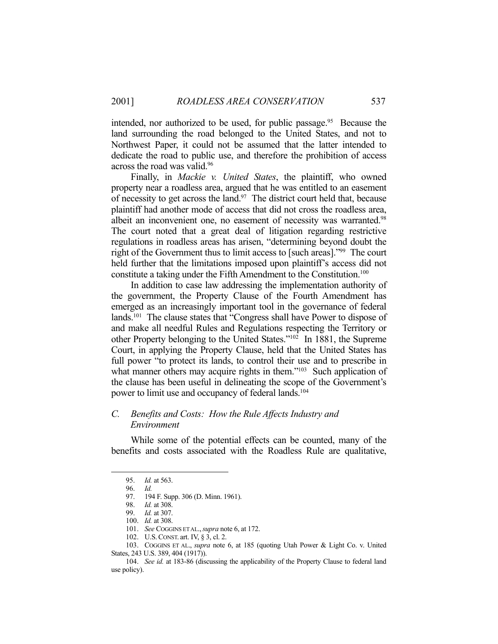intended, nor authorized to be used, for public passage.<sup>95</sup> Because the land surrounding the road belonged to the United States, and not to Northwest Paper, it could not be assumed that the latter intended to dedicate the road to public use, and therefore the prohibition of access across the road was valid.96

 Finally, in *Mackie v. United States*, the plaintiff, who owned property near a roadless area, argued that he was entitled to an easement of necessity to get across the land. $97$  The district court held that, because plaintiff had another mode of access that did not cross the roadless area, albeit an inconvenient one, no easement of necessity was warranted.<sup>98</sup> The court noted that a great deal of litigation regarding restrictive regulations in roadless areas has arisen, "determining beyond doubt the right of the Government thus to limit access to [such areas]."99 The court held further that the limitations imposed upon plaintiff's access did not constitute a taking under the Fifth Amendment to the Constitution.100

 In addition to case law addressing the implementation authority of the government, the Property Clause of the Fourth Amendment has emerged as an increasingly important tool in the governance of federal lands.<sup>101</sup> The clause states that "Congress shall have Power to dispose of and make all needful Rules and Regulations respecting the Territory or other Property belonging to the United States."102 In 1881, the Supreme Court, in applying the Property Clause, held that the United States has full power "to protect its lands, to control their use and to prescribe in what manner others may acquire rights in them."<sup>103</sup> Such application of the clause has been useful in delineating the scope of the Government's power to limit use and occupancy of federal lands.<sup>104</sup>

## *C. Benefits and Costs: How the Rule Affects Industry and Environment*

 While some of the potential effects can be counted, many of the benefits and costs associated with the Roadless Rule are qualitative,

 <sup>95.</sup> *Id.* at 563.

 <sup>96.</sup> *Id.*

 <sup>97. 194</sup> F. Supp. 306 (D. Minn. 1961).

 <sup>98.</sup> *Id.* at 308.

 <sup>99.</sup> *Id.* at 307.

 <sup>100.</sup> *Id.* at 308.

 <sup>101.</sup> *See* COGGINS ET AL.,*supra* note 6, at 172.

 <sup>102.</sup> U.S.CONST. art. IV, § 3, cl. 2.

 <sup>103.</sup> COGGINS ET AL., *supra* note 6, at 185 (quoting Utah Power & Light Co. v. United States, 243 U.S. 389, 404 (1917)).

 <sup>104.</sup> *See id.* at 183-86 (discussing the applicability of the Property Clause to federal land use policy).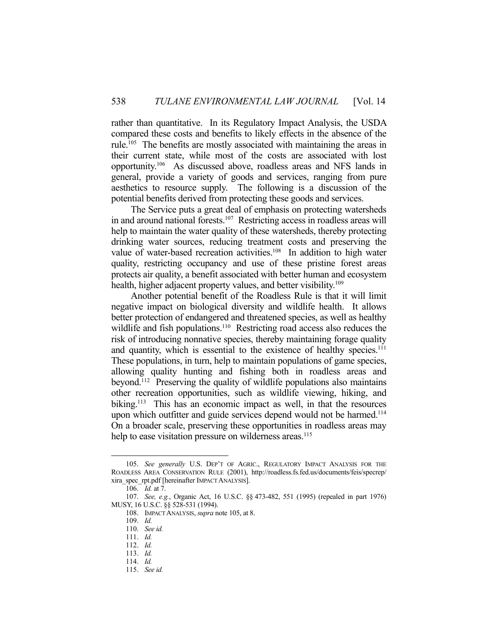rather than quantitative. In its Regulatory Impact Analysis, the USDA compared these costs and benefits to likely effects in the absence of the rule.105 The benefits are mostly associated with maintaining the areas in their current state, while most of the costs are associated with lost opportunity.106 As discussed above, roadless areas and NFS lands in general, provide a variety of goods and services, ranging from pure aesthetics to resource supply. The following is a discussion of the potential benefits derived from protecting these goods and services.

 The Service puts a great deal of emphasis on protecting watersheds in and around national forests.107 Restricting access in roadless areas will help to maintain the water quality of these watersheds, thereby protecting drinking water sources, reducing treatment costs and preserving the value of water-based recreation activities.<sup>108</sup> In addition to high water quality, restricting occupancy and use of these pristine forest areas protects air quality, a benefit associated with better human and ecosystem health, higher adjacent property values, and better visibility.<sup>109</sup>

 Another potential benefit of the Roadless Rule is that it will limit negative impact on biological diversity and wildlife health. It allows better protection of endangered and threatened species, as well as healthy wildlife and fish populations.<sup>110</sup> Restricting road access also reduces the risk of introducing nonnative species, thereby maintaining forage quality and quantity, which is essential to the existence of healthy species.<sup>111</sup> These populations, in turn, help to maintain populations of game species, allowing quality hunting and fishing both in roadless areas and beyond.112 Preserving the quality of wildlife populations also maintains other recreation opportunities, such as wildlife viewing, hiking, and biking.<sup>113</sup> This has an economic impact as well, in that the resources upon which outfitter and guide services depend would not be harmed.<sup>114</sup> On a broader scale, preserving these opportunities in roadless areas may help to ease visitation pressure on wilderness areas.<sup>115</sup>

 <sup>105.</sup> *See generally* U.S. DEP'T OF AGRIC., REGULATORY IMPACT ANALYSIS FOR THE ROADLESS AREA CONSERVATION RULE (2001), http://roadless.fs.fed.us/documents/feis/specrep/ xira\_spec\_rpt.pdf [hereinafter IMPACT ANALYSIS].

 <sup>106.</sup> *Id.* at 7.

 <sup>107.</sup> *See, e.g.*, Organic Act, 16 U.S.C. §§ 473-482, 551 (1995) (repealed in part 1976) MUSY, 16 U.S.C. §§ 528-531 (1994).

 <sup>108.</sup> IMPACT ANALYSIS, *supra* note 105, at 8.

 <sup>109.</sup> *Id.*

 <sup>110.</sup> *See id.*

 <sup>111.</sup> *Id.* 

 <sup>112.</sup> *Id.* 

 <sup>113.</sup> *Id.* 

 <sup>114.</sup> *Id.* 

 <sup>115.</sup> *See id.*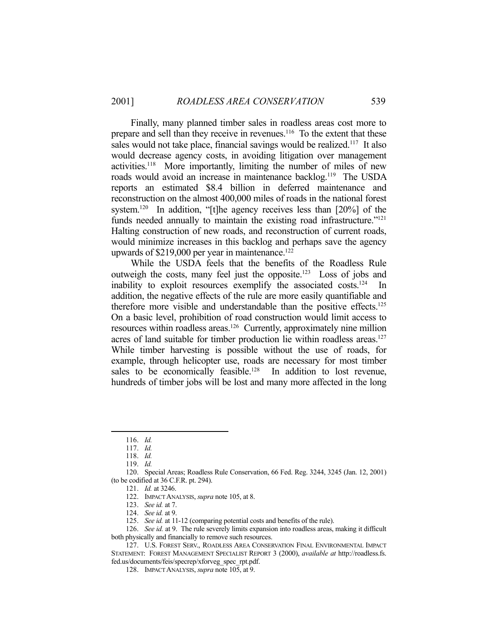Finally, many planned timber sales in roadless areas cost more to prepare and sell than they receive in revenues.<sup>116</sup> To the extent that these sales would not take place, financial savings would be realized.<sup>117</sup> It also would decrease agency costs, in avoiding litigation over management activities.118 More importantly, limiting the number of miles of new roads would avoid an increase in maintenance backlog.<sup>119</sup> The USDA reports an estimated \$8.4 billion in deferred maintenance and reconstruction on the almost 400,000 miles of roads in the national forest system.<sup>120</sup> In addition, "[t]he agency receives less than [20%] of the funds needed annually to maintain the existing road infrastructure."<sup>121</sup> Halting construction of new roads, and reconstruction of current roads, would minimize increases in this backlog and perhaps save the agency upwards of  $$219,000$  per year in maintenance.<sup>122</sup>

 While the USDA feels that the benefits of the Roadless Rule outweigh the costs, many feel just the opposite.123 Loss of jobs and inability to exploit resources exemplify the associated costs.<sup>124</sup> In addition, the negative effects of the rule are more easily quantifiable and therefore more visible and understandable than the positive effects.125 On a basic level, prohibition of road construction would limit access to resources within roadless areas.126 Currently, approximately nine million acres of land suitable for timber production lie within roadless areas.<sup>127</sup> While timber harvesting is possible without the use of roads, for example, through helicopter use, roads are necessary for most timber sales to be economically feasible.<sup>128</sup> In addition to lost revenue, hundreds of timber jobs will be lost and many more affected in the long

1

121. *Id.* at 3246.

 126. *See id.* at 9. The rule severely limits expansion into roadless areas, making it difficult both physically and financially to remove such resources.

 127. U.S. FOREST SERV., ROADLESS AREA CONSERVATION FINAL ENVIRONMENTAL IMPACT STATEMENT: FOREST MANAGEMENT SPECIALIST REPORT 3 (2000), *available at* http://roadless.fs. fed.us/documents/feis/specrep/xforveg\_spec\_rpt.pdf.

128. IMPACT ANALYSIS, *supra* note 105, at 9.

 <sup>116.</sup> *Id.* 

 <sup>117.</sup> *Id.* 

 <sup>118.</sup> *Id.* 

 <sup>119.</sup> *Id.* 

 <sup>120.</sup> Special Areas; Roadless Rule Conservation, 66 Fed. Reg. 3244, 3245 (Jan. 12, 2001) (to be codified at 36 C.F.R. pt. 294).

 <sup>122.</sup> IMPACT ANALYSIS, *supra* note 105, at 8.

 <sup>123.</sup> *See id.* at 7.

 <sup>124.</sup> *See id.* at 9.

 <sup>125.</sup> *See id.* at 11-12 (comparing potential costs and benefits of the rule).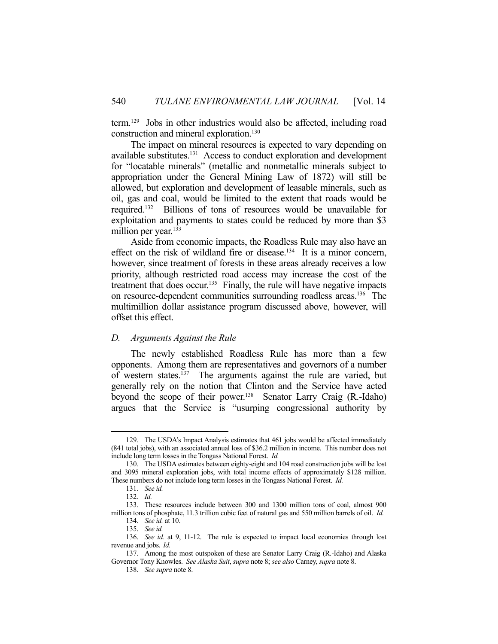term.129 Jobs in other industries would also be affected, including road construction and mineral exploration.130

 The impact on mineral resources is expected to vary depending on available substitutes.131 Access to conduct exploration and development for "locatable minerals" (metallic and nonmetallic minerals subject to appropriation under the General Mining Law of 1872) will still be allowed, but exploration and development of leasable minerals, such as oil, gas and coal, would be limited to the extent that roads would be required.132 Billions of tons of resources would be unavailable for exploitation and payments to states could be reduced by more than \$3 million per year.<sup>133</sup>

 Aside from economic impacts, the Roadless Rule may also have an effect on the risk of wildland fire or disease.<sup>134</sup> It is a minor concern, however, since treatment of forests in these areas already receives a low priority, although restricted road access may increase the cost of the treatment that does occur.<sup>135</sup> Finally, the rule will have negative impacts on resource-dependent communities surrounding roadless areas.<sup>136</sup> The multimillion dollar assistance program discussed above, however, will offset this effect.

#### *D. Arguments Against the Rule*

 The newly established Roadless Rule has more than a few opponents. Among them are representatives and governors of a number of western states.<sup>137</sup> The arguments against the rule are varied, but generally rely on the notion that Clinton and the Service have acted beyond the scope of their power.<sup>138</sup> Senator Larry Craig (R.-Idaho) argues that the Service is "usurping congressional authority by

 <sup>129.</sup> The USDA's Impact Analysis estimates that 461 jobs would be affected immediately (841 total jobs), with an associated annual loss of \$36.2 million in income. This number does not include long term losses in the Tongass National Forest. *Id.*

 <sup>130.</sup> The USDA estimates between eighty-eight and 104 road construction jobs will be lost and 3095 mineral exploration jobs, with total income effects of approximately \$128 million. These numbers do not include long term losses in the Tongass National Forest. *Id.*

 <sup>131.</sup> *See id.*

 <sup>132.</sup> *Id.*

 <sup>133.</sup> These resources include between 300 and 1300 million tons of coal, almost 900 million tons of phosphate, 11.3 trillion cubic feet of natural gas and 550 million barrels of oil. *Id.* 

 <sup>134.</sup> *See id.* at 10.

 <sup>135.</sup> *See id.* 

 <sup>136.</sup> *See id.* at 9, 11-12. The rule is expected to impact local economies through lost revenue and jobs. *Id.*

 <sup>137.</sup> Among the most outspoken of these are Senator Larry Craig (R.-Idaho) and Alaska Governor Tony Knowles. *See Alaska Suit*, *supra* note 8; *see also* Carney, *supra* note 8.

 <sup>138.</sup> *See supra* note 8.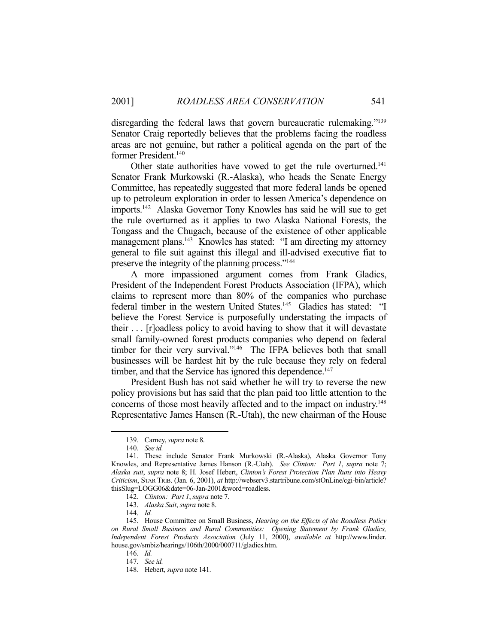disregarding the federal laws that govern bureaucratic rulemaking."<sup>139</sup> Senator Craig reportedly believes that the problems facing the roadless areas are not genuine, but rather a political agenda on the part of the former President.140

Other state authorities have vowed to get the rule overturned.<sup>141</sup> Senator Frank Murkowski (R.-Alaska), who heads the Senate Energy Committee, has repeatedly suggested that more federal lands be opened up to petroleum exploration in order to lessen America's dependence on imports.142 Alaska Governor Tony Knowles has said he will sue to get the rule overturned as it applies to two Alaska National Forests, the Tongass and the Chugach, because of the existence of other applicable management plans.<sup>143</sup> Knowles has stated: "I am directing my attorney general to file suit against this illegal and ill-advised executive fiat to preserve the integrity of the planning process."144

 A more impassioned argument comes from Frank Gladics, President of the Independent Forest Products Association (IFPA), which claims to represent more than 80% of the companies who purchase federal timber in the western United States.<sup>145</sup> Gladics has stated: "I believe the Forest Service is purposefully understating the impacts of their . . . [r]oadless policy to avoid having to show that it will devastate small family-owned forest products companies who depend on federal timber for their very survival."<sup>146</sup> The IFPA believes both that small businesses will be hardest hit by the rule because they rely on federal timber, and that the Service has ignored this dependence.<sup>147</sup>

 President Bush has not said whether he will try to reverse the new policy provisions but has said that the plan paid too little attention to the concerns of those most heavily affected and to the impact on industry.148 Representative James Hansen (R.-Utah), the new chairman of the House

 <sup>139.</sup> Carney, *supra* note 8.

 <sup>140.</sup> *See id.* 

 <sup>141.</sup> These include Senator Frank Murkowski (R.-Alaska), Alaska Governor Tony Knowles, and Representative James Hanson (R.-Utah). *See Clinton: Part 1*, *supra* note 7; *Alaska suit*, *supra* note 8; H. Josef Hebert, *Clinton's Forest Protection Plan Runs into Heavy Criticism*, STAR TRIB. (Jan. 6, 2001), *at* http://webserv3.startribune.com/stOnLine/cgi-bin/article? thisSlug=LOGG06&date=06-Jan-2001&word=roadless.

 <sup>142.</sup> *Clinton: Part 1*, *supra* note 7.

 <sup>143.</sup> *Alaska Suit*, *supra* note 8.

 <sup>144.</sup> *Id.* 

 <sup>145.</sup> House Committee on Small Business, *Hearing on the Effects of the Roadless Policy on Rural Small Business and Rural Communities: Opening Statement by Frank Gladics, Independent Forest Products Association* (July 11, 2000), *available at* http://www.linder. house.gov/smbiz/hearings/106th/2000/000711/gladics.htm.

 <sup>146.</sup> *Id.* 

 <sup>147.</sup> *See id.*

 <sup>148.</sup> Hebert, *supra* note 141.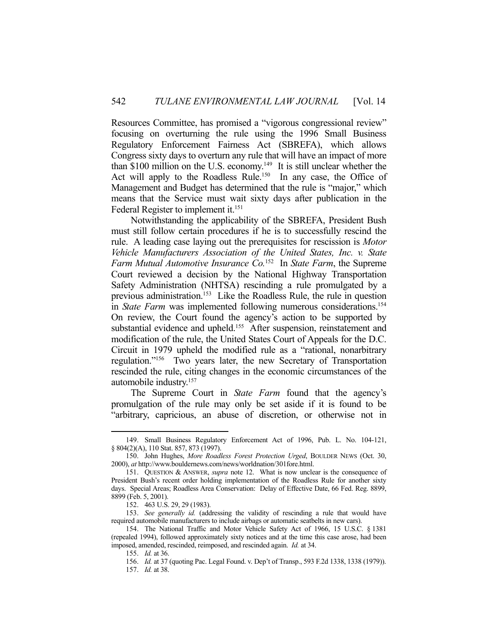Resources Committee, has promised a "vigorous congressional review" focusing on overturning the rule using the 1996 Small Business Regulatory Enforcement Fairness Act (SBREFA), which allows Congress sixty days to overturn any rule that will have an impact of more than \$100 million on the U.S. economy.149 It is still unclear whether the Act will apply to the Roadless Rule.<sup>150</sup> In any case, the Office of Management and Budget has determined that the rule is "major," which means that the Service must wait sixty days after publication in the Federal Register to implement it.<sup>151</sup>

 Notwithstanding the applicability of the SBREFA, President Bush must still follow certain procedures if he is to successfully rescind the rule. A leading case laying out the prerequisites for rescission is *Motor Vehicle Manufacturers Association of the United States, Inc. v. State Farm Mutual Automotive Insurance Co.*152 In *State Farm*, the Supreme Court reviewed a decision by the National Highway Transportation Safety Administration (NHTSA) rescinding a rule promulgated by a previous administration.153 Like the Roadless Rule, the rule in question in *State Farm* was implemented following numerous considerations.<sup>154</sup> On review, the Court found the agency's action to be supported by substantial evidence and upheld.<sup>155</sup> After suspension, reinstatement and modification of the rule, the United States Court of Appeals for the D.C. Circuit in 1979 upheld the modified rule as a "rational, nonarbitrary regulation."156 Two years later, the new Secretary of Transportation rescinded the rule, citing changes in the economic circumstances of the automobile industry.157

 The Supreme Court in *State Farm* found that the agency's promulgation of the rule may only be set aside if it is found to be "arbitrary, capricious, an abuse of discretion, or otherwise not in

 <sup>149.</sup> Small Business Regulatory Enforcement Act of 1996, Pub. L. No. 104-121, § 804(2)(A), 110 Stat. 857, 873 (1997).

 <sup>150.</sup> John Hughes, *More Roadless Forest Protection Urged*, BOULDER NEWS (Oct. 30, 2000), *at* http://www.bouldernews.com/news/worldnation/301fore.html.

 <sup>151.</sup> QUESTION & ANSWER, *supra* note 12. What is now unclear is the consequence of President Bush's recent order holding implementation of the Roadless Rule for another sixty days. Special Areas; Roadless Area Conservation: Delay of Effective Date, 66 Fed. Reg. 8899, 8899 (Feb. 5, 2001).

 <sup>152. 463</sup> U.S. 29, 29 (1983).

 <sup>153.</sup> *See generally id.* (addressing the validity of rescinding a rule that would have required automobile manufacturers to include airbags or automatic seatbelts in new cars).

 <sup>154.</sup> The National Traffic and Motor Vehicle Safety Act of 1966, 15 U.S.C. § 1381 (repealed 1994), followed approximately sixty notices and at the time this case arose, had been imposed, amended, rescinded, reimposed, and rescinded again. *Id.* at 34.

 <sup>155.</sup> *Id.* at 36.

 <sup>156.</sup> *Id.* at 37 (quoting Pac. Legal Found. v. Dep't of Transp., 593 F.2d 1338, 1338 (1979)).

 <sup>157.</sup> *Id.* at 38.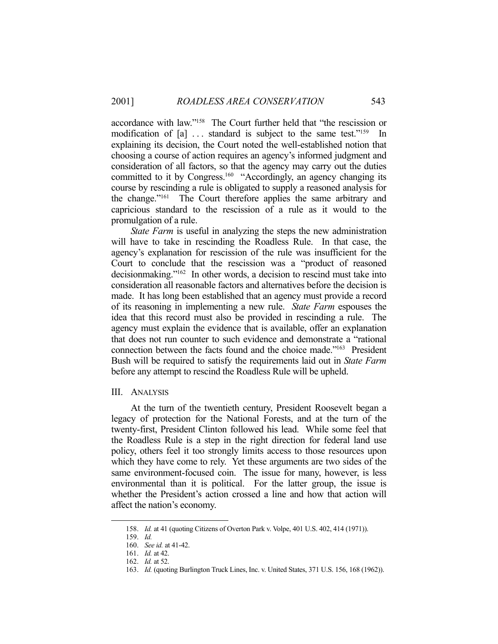accordance with law."158 The Court further held that "the rescission or modification of [a] ... standard is subject to the same test."<sup>159</sup> In explaining its decision, the Court noted the well-established notion that choosing a course of action requires an agency's informed judgment and consideration of all factors, so that the agency may carry out the duties committed to it by Congress.<sup>160</sup> "Accordingly, an agency changing its course by rescinding a rule is obligated to supply a reasoned analysis for the change."161 The Court therefore applies the same arbitrary and capricious standard to the rescission of a rule as it would to the promulgation of a rule.

*State Farm* is useful in analyzing the steps the new administration will have to take in rescinding the Roadless Rule. In that case, the agency's explanation for rescission of the rule was insufficient for the Court to conclude that the rescission was a "product of reasoned decisionmaking."162 In other words, a decision to rescind must take into consideration all reasonable factors and alternatives before the decision is made. It has long been established that an agency must provide a record of its reasoning in implementing a new rule. *State Farm* espouses the idea that this record must also be provided in rescinding a rule. The agency must explain the evidence that is available, offer an explanation that does not run counter to such evidence and demonstrate a "rational connection between the facts found and the choice made."163 President Bush will be required to satisfy the requirements laid out in *State Farm* before any attempt to rescind the Roadless Rule will be upheld.

#### III. ANALYSIS

 At the turn of the twentieth century, President Roosevelt began a legacy of protection for the National Forests, and at the turn of the twenty-first, President Clinton followed his lead. While some feel that the Roadless Rule is a step in the right direction for federal land use policy, others feel it too strongly limits access to those resources upon which they have come to rely. Yet these arguments are two sides of the same environment-focused coin. The issue for many, however, is less environmental than it is political. For the latter group, the issue is whether the President's action crossed a line and how that action will affect the nation's economy.

<u>.</u>

 <sup>158.</sup> *Id.* at 41 (quoting Citizens of Overton Park v. Volpe, 401 U.S. 402, 414 (1971)).

 <sup>159.</sup> *Id.* 

 <sup>160.</sup> *See id.* at 41-42.

 <sup>161.</sup> *Id.* at 42.

 <sup>162.</sup> *Id.* at 52.

 <sup>163.</sup> *Id.* (quoting Burlington Truck Lines, Inc. v. United States, 371 U.S. 156, 168 (1962)).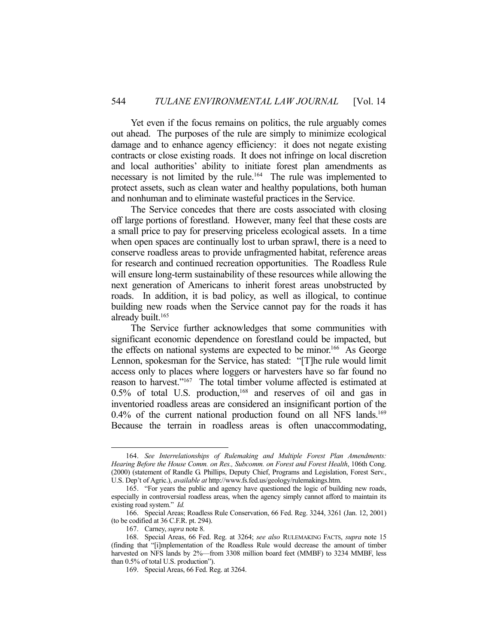Yet even if the focus remains on politics, the rule arguably comes out ahead. The purposes of the rule are simply to minimize ecological damage and to enhance agency efficiency: it does not negate existing contracts or close existing roads. It does not infringe on local discretion and local authorities' ability to initiate forest plan amendments as necessary is not limited by the rule.<sup>164</sup> The rule was implemented to protect assets, such as clean water and healthy populations, both human and nonhuman and to eliminate wasteful practices in the Service.

 The Service concedes that there are costs associated with closing off large portions of forestland. However, many feel that these costs are a small price to pay for preserving priceless ecological assets. In a time when open spaces are continually lost to urban sprawl, there is a need to conserve roadless areas to provide unfragmented habitat, reference areas for research and continued recreation opportunities. The Roadless Rule will ensure long-term sustainability of these resources while allowing the next generation of Americans to inherit forest areas unobstructed by roads. In addition, it is bad policy, as well as illogical, to continue building new roads when the Service cannot pay for the roads it has already built.<sup>165</sup>

 The Service further acknowledges that some communities with significant economic dependence on forestland could be impacted, but the effects on national systems are expected to be minor.<sup>166</sup> As George Lennon, spokesman for the Service, has stated: "[T]he rule would limit access only to places where loggers or harvesters have so far found no reason to harvest."167 The total timber volume affected is estimated at  $0.5\%$  of total U.S. production,<sup>168</sup> and reserves of oil and gas in inventoried roadless areas are considered an insignificant portion of the 0.4% of the current national production found on all NFS lands.<sup>169</sup> Because the terrain in roadless areas is often unaccommodating,

 <sup>164.</sup> *See Interrelationships of Rulemaking and Multiple Forest Plan Amendments: Hearing Before the House Comm. on Res., Subcomm. on Forest and Forest Health*, 106th Cong. (2000) (statement of Randle G. Phillips, Deputy Chief, Programs and Legislation, Forest Serv., U.S. Dep't of Agric.), *available at* http://www.fs.fed.us/geology/rulemakings.htm.

 <sup>165. &</sup>quot;For years the public and agency have questioned the logic of building new roads, especially in controversial roadless areas, when the agency simply cannot afford to maintain its existing road system." *Id.*

 <sup>166.</sup> Special Areas; Roadless Rule Conservation, 66 Fed. Reg. 3244, 3261 (Jan. 12, 2001) (to be codified at 36 C.F.R. pt. 294).

 <sup>167.</sup> Carney, *supra* note 8.

 <sup>168.</sup> Special Areas, 66 Fed. Reg. at 3264; *see also* RULEMAKING FACTS, *supra* note 15 (finding that "[i]mplementation of the Roadless Rule would decrease the amount of timber harvested on NFS lands by 2%—from 3308 million board feet (MMBF) to 3234 MMBF, less than 0.5% of total U.S. production").

 <sup>169.</sup> Special Areas, 66 Fed. Reg. at 3264.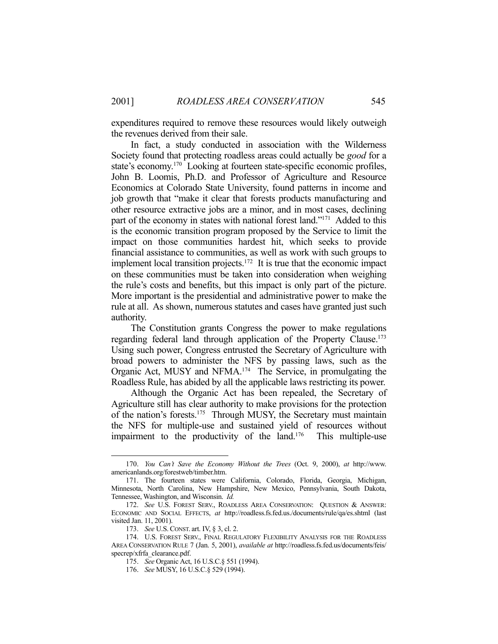expenditures required to remove these resources would likely outweigh the revenues derived from their sale.

 In fact, a study conducted in association with the Wilderness Society found that protecting roadless areas could actually be *good* for a state's economy.170 Looking at fourteen state-specific economic profiles, John B. Loomis, Ph.D. and Professor of Agriculture and Resource Economics at Colorado State University, found patterns in income and job growth that "make it clear that forests products manufacturing and other resource extractive jobs are a minor, and in most cases, declining part of the economy in states with national forest land."171 Added to this is the economic transition program proposed by the Service to limit the impact on those communities hardest hit, which seeks to provide financial assistance to communities, as well as work with such groups to implement local transition projects.<sup>172</sup> It is true that the economic impact on these communities must be taken into consideration when weighing the rule's costs and benefits, but this impact is only part of the picture. More important is the presidential and administrative power to make the rule at all. As shown, numerous statutes and cases have granted just such authority.

 The Constitution grants Congress the power to make regulations regarding federal land through application of the Property Clause.<sup>173</sup> Using such power, Congress entrusted the Secretary of Agriculture with broad powers to administer the NFS by passing laws, such as the Organic Act, MUSY and NFMA.174 The Service, in promulgating the Roadless Rule, has abided by all the applicable laws restricting its power.

 Although the Organic Act has been repealed, the Secretary of Agriculture still has clear authority to make provisions for the protection of the nation's forests.<sup>175</sup> Through MUSY, the Secretary must maintain the NFS for multiple-use and sustained yield of resources without impairment to the productivity of the land.176 This multiple-use

 <sup>170.</sup> *You Can't Save the Economy Without the Trees* (Oct. 9, 2000), *at* http://www. americanlands.org/forestweb/timber.htm.

 <sup>171.</sup> The fourteen states were California, Colorado, Florida, Georgia, Michigan, Minnesota, North Carolina, New Hampshire, New Mexico, Pennsylvania, South Dakota, Tennessee, Washington, and Wisconsin. *Id.* 

 <sup>172.</sup> *See* U.S. FOREST SERV., ROADLESS AREA CONSERVATION: QUESTION & ANSWER: ECONOMIC AND SOCIAL EFFECTS, *at* http://roadless.fs.fed.us./documents/rule/qa/es.shtml (last visited Jan. 11, 2001).

 <sup>173.</sup> *See* U.S. CONST. art. IV, § 3, cl. 2.

 <sup>174.</sup> U.S. FOREST SERV., FINAL REGULATORY FLEXIBILITY ANALYSIS FOR THE ROADLESS AREA CONSERVATION RULE 7 (Jan. 5, 2001), *available at* http://roadless.fs.fed.us/documents/feis/ specrep/xfrfa\_clearance.pdf.

 <sup>175.</sup> *See* Organic Act, 16 U.S.C.§ 551 (1994).

 <sup>176.</sup> *See* MUSY, 16 U.S.C.§ 529 (1994).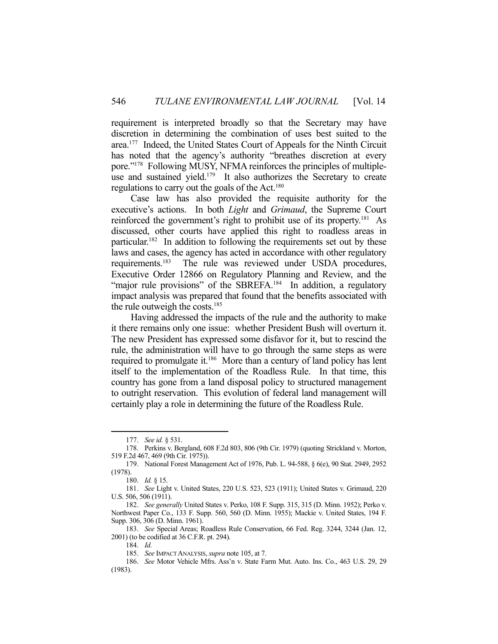requirement is interpreted broadly so that the Secretary may have discretion in determining the combination of uses best suited to the area.177 Indeed, the United States Court of Appeals for the Ninth Circuit has noted that the agency's authority "breathes discretion at every pore."178 Following MUSY, NFMA reinforces the principles of multipleuse and sustained yield.<sup>179</sup> It also authorizes the Secretary to create regulations to carry out the goals of the Act.<sup>180</sup>

 Case law has also provided the requisite authority for the executive's actions. In both *Light* and *Grimaud*, the Supreme Court reinforced the government's right to prohibit use of its property.181 As discussed, other courts have applied this right to roadless areas in particular.182 In addition to following the requirements set out by these laws and cases, the agency has acted in accordance with other regulatory requirements.183 The rule was reviewed under USDA procedures, Executive Order 12866 on Regulatory Planning and Review, and the "major rule provisions" of the SBREFA.<sup>184</sup> In addition, a regulatory impact analysis was prepared that found that the benefits associated with the rule outweigh the costs.<sup>185</sup>

 Having addressed the impacts of the rule and the authority to make it there remains only one issue: whether President Bush will overturn it. The new President has expressed some disfavor for it, but to rescind the rule, the administration will have to go through the same steps as were required to promulgate it.186 More than a century of land policy has lent itself to the implementation of the Roadless Rule. In that time, this country has gone from a land disposal policy to structured management to outright reservation. This evolution of federal land management will certainly play a role in determining the future of the Roadless Rule.

 <sup>177.</sup> *See id.* § 531.

 <sup>178.</sup> Perkins v. Bergland, 608 F.2d 803, 806 (9th Cir. 1979) (quoting Strickland v. Morton, 519 F.2d 467, 469 (9th Cir. 1975)).

 <sup>179.</sup> National Forest Management Act of 1976, Pub. L. 94-588, § 6(e), 90 Stat. 2949, 2952 (1978).

 <sup>180.</sup> *Id.* § 15.

 <sup>181.</sup> *See* Light v. United States, 220 U.S. 523, 523 (1911); United States v. Grimaud, 220 U.S. 506, 506 (1911).

 <sup>182.</sup> *See generally* United States v. Perko, 108 F. Supp. 315, 315 (D. Minn. 1952); Perko v. Northwest Paper Co., 133 F. Supp. 560, 560 (D. Minn. 1955); Mackie v. United States, 194 F. Supp. 306, 306 (D. Minn. 1961).

 <sup>183.</sup> *See* Special Areas; Roadless Rule Conservation, 66 Fed. Reg. 3244, 3244 (Jan. 12, 2001) (to be codified at 36 C.F.R. pt. 294).

 <sup>184.</sup> *Id.*

 <sup>185.</sup> *See* IMPACT ANALYSIS, *supra* note 105, at 7.

 <sup>186.</sup> *See* Motor Vehicle Mfrs. Ass'n v. State Farm Mut. Auto. Ins. Co., 463 U.S. 29, 29 (1983).